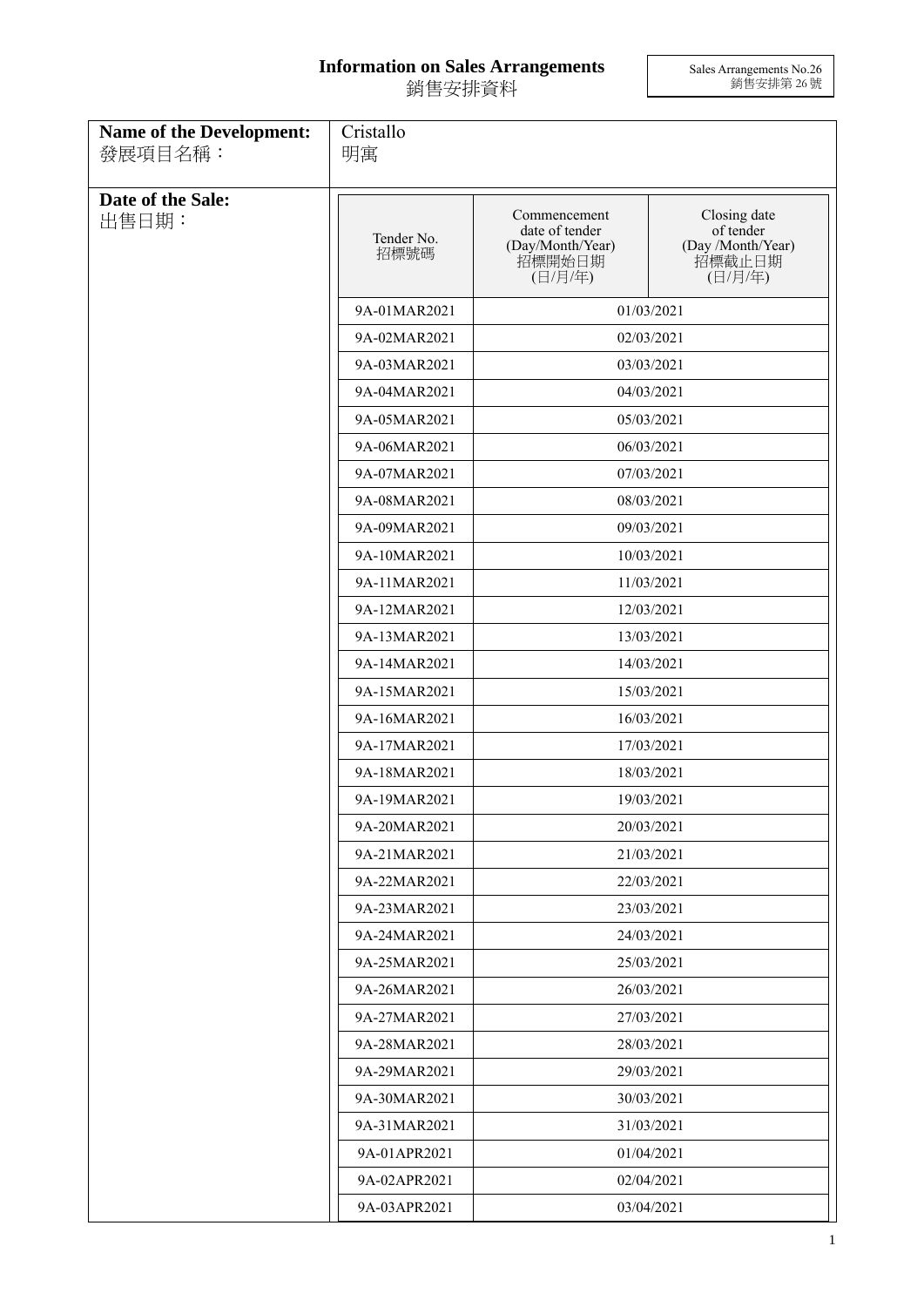## **Information on Sales Arrangements** 銷售安排資料

Sales Arrangements No.26 銷售安排第 26 號

| <b>Name of the Development:</b><br>發展項目名稱: | Cristallo<br>明寓    |                                                                         |                                                                     |
|--------------------------------------------|--------------------|-------------------------------------------------------------------------|---------------------------------------------------------------------|
| Date of the Sale:<br>出售日期:                 | Tender No.<br>招標號碼 | Commencement<br>date of tender<br>(Day/Month/Year)<br>招標開始日期<br>(日/月/年) | Closing date<br>of tender<br>(Day /Month/Year)<br>招標截止日期<br>(日/月/年) |
|                                            | 9A-01MAR2021       | 01/03/2021                                                              |                                                                     |
|                                            | 9A-02MAR2021       | 02/03/2021                                                              |                                                                     |
|                                            | 9A-03MAR2021       |                                                                         | 03/03/2021                                                          |
|                                            | 9A-04MAR2021       |                                                                         | 04/03/2021                                                          |
|                                            | 9A-05MAR2021       |                                                                         | 05/03/2021                                                          |
|                                            | 9A-06MAR2021       |                                                                         | 06/03/2021                                                          |
|                                            | 9A-07MAR2021       |                                                                         | 07/03/2021                                                          |
|                                            | 9A-08MAR2021       |                                                                         | 08/03/2021                                                          |
|                                            | 9A-09MAR2021       |                                                                         | 09/03/2021                                                          |
|                                            | 9A-10MAR2021       |                                                                         | 10/03/2021                                                          |
|                                            | 9A-11MAR2021       |                                                                         | 11/03/2021                                                          |
|                                            | 9A-12MAR2021       | 12/03/2021                                                              |                                                                     |
|                                            | 9A-13MAR2021       | 13/03/2021                                                              |                                                                     |
|                                            | 9A-14MAR2021       |                                                                         | 14/03/2021                                                          |
|                                            | 9A-15MAR2021       |                                                                         | 15/03/2021                                                          |
|                                            | 9A-16MAR2021       |                                                                         | 16/03/2021                                                          |
|                                            | 9A-17MAR2021       |                                                                         | 17/03/2021                                                          |
|                                            | 9A-18MAR2021       |                                                                         | 18/03/2021                                                          |
|                                            | 9A-19MAR2021       |                                                                         | 19/03/2021                                                          |
|                                            | 9A-20MAR2021       | 20/03/2021                                                              |                                                                     |
|                                            | 9A-21MAR2021       | 21/03/2021                                                              |                                                                     |
|                                            | 9A-22MAR2021       |                                                                         | 22/03/2021                                                          |
|                                            | 9A-23MAR2021       |                                                                         | 23/03/2021                                                          |
|                                            | 9A-24MAR2021       |                                                                         | 24/03/2021                                                          |
|                                            | 9A-25MAR2021       |                                                                         | 25/03/2021                                                          |
|                                            | 9A-26MAR2021       |                                                                         | 26/03/2021                                                          |
|                                            | 9A-27MAR2021       |                                                                         | 27/03/2021                                                          |
|                                            | 9A-28MAR2021       | 28/03/2021                                                              |                                                                     |
|                                            | 9A-29MAR2021       | 29/03/2021                                                              |                                                                     |
|                                            | 9A-30MAR2021       |                                                                         | 30/03/2021                                                          |
|                                            | 9A-31MAR2021       |                                                                         | 31/03/2021                                                          |
|                                            | 9A-01APR2021       |                                                                         | 01/04/2021                                                          |
|                                            | 9A-02APR2021       | 02/04/2021                                                              |                                                                     |
|                                            | 9A-03APR2021       | 03/04/2021                                                              |                                                                     |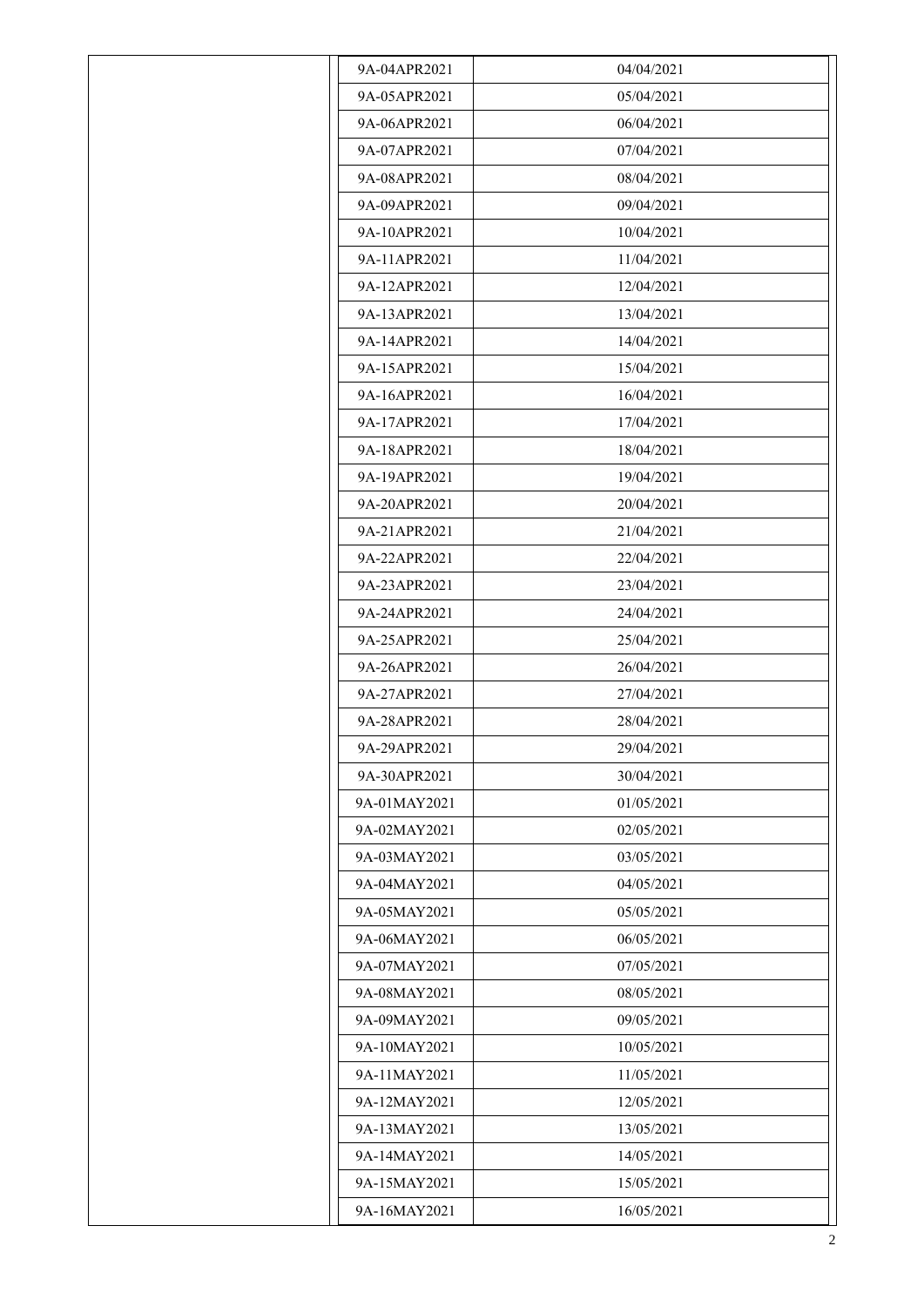| 9A-04APR2021 | 04/04/2021 |
|--------------|------------|
| 9A-05APR2021 | 05/04/2021 |
| 9A-06APR2021 | 06/04/2021 |
| 9A-07APR2021 | 07/04/2021 |
| 9A-08APR2021 | 08/04/2021 |
| 9A-09APR2021 | 09/04/2021 |
| 9A-10APR2021 | 10/04/2021 |
| 9A-11APR2021 | 11/04/2021 |
| 9A-12APR2021 | 12/04/2021 |
| 9A-13APR2021 | 13/04/2021 |
| 9A-14APR2021 | 14/04/2021 |
| 9A-15APR2021 | 15/04/2021 |
| 9A-16APR2021 | 16/04/2021 |
| 9A-17APR2021 | 17/04/2021 |
| 9A-18APR2021 | 18/04/2021 |
| 9A-19APR2021 | 19/04/2021 |
| 9A-20APR2021 | 20/04/2021 |
| 9A-21APR2021 | 21/04/2021 |
| 9A-22APR2021 | 22/04/2021 |
| 9A-23APR2021 | 23/04/2021 |
| 9A-24APR2021 | 24/04/2021 |
| 9A-25APR2021 | 25/04/2021 |
| 9A-26APR2021 | 26/04/2021 |
| 9A-27APR2021 | 27/04/2021 |
| 9A-28APR2021 | 28/04/2021 |
| 9A-29APR2021 | 29/04/2021 |
| 9A-30APR2021 | 30/04/2021 |
| 9A-01MAY2021 | 01/05/2021 |
| 9A-02MAY2021 | 02/05/2021 |
| 9A-03MAY2021 | 03/05/2021 |
| 9A-04MAY2021 | 04/05/2021 |
| 9A-05MAY2021 | 05/05/2021 |
| 9A-06MAY2021 | 06/05/2021 |
| 9A-07MAY2021 | 07/05/2021 |
| 9A-08MAY2021 | 08/05/2021 |
| 9A-09MAY2021 | 09/05/2021 |
| 9A-10MAY2021 | 10/05/2021 |
| 9A-11MAY2021 | 11/05/2021 |
| 9A-12MAY2021 | 12/05/2021 |
| 9A-13MAY2021 | 13/05/2021 |
| 9A-14MAY2021 | 14/05/2021 |
| 9A-15MAY2021 | 15/05/2021 |
| 9A-16MAY2021 | 16/05/2021 |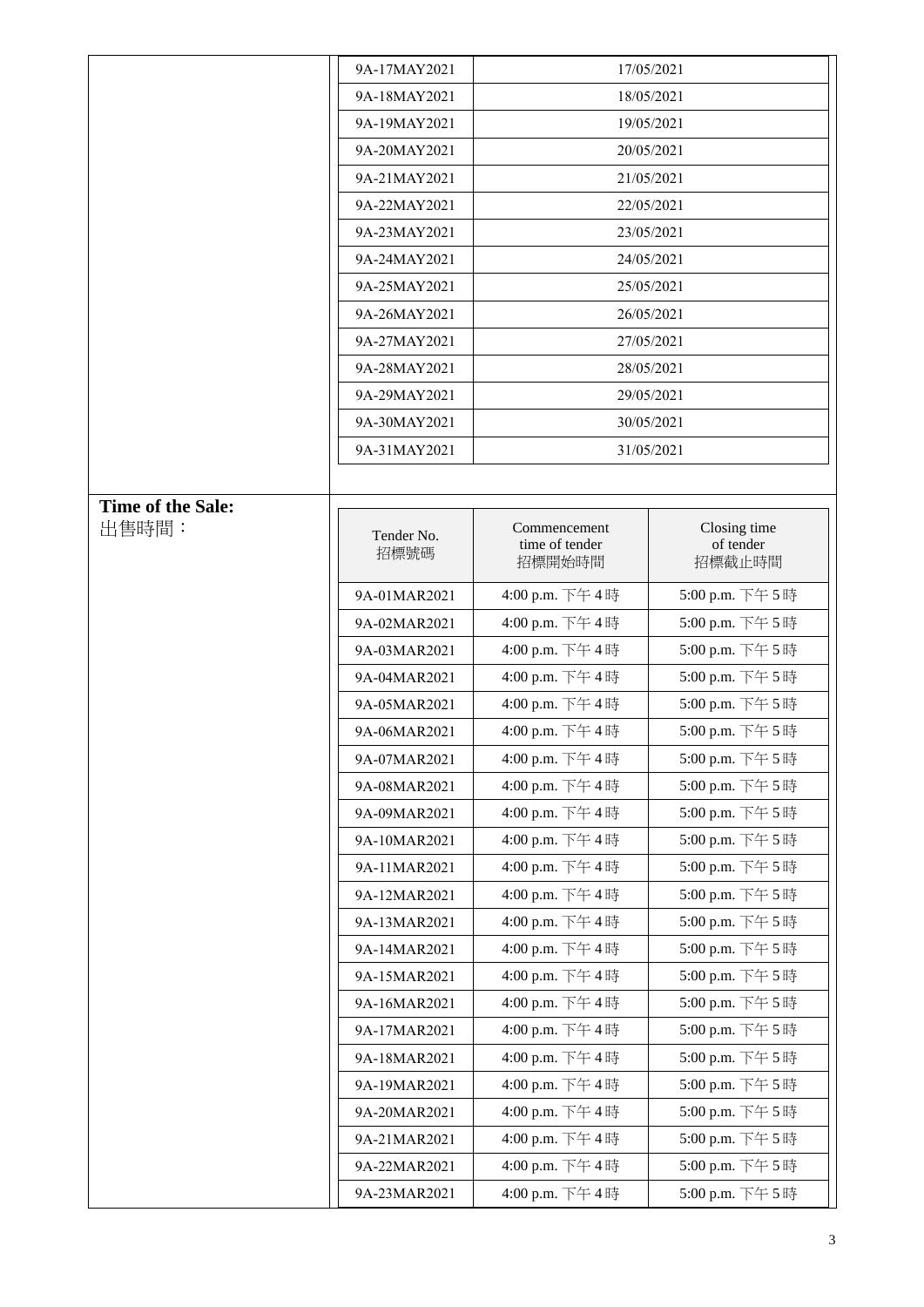|                   | 9A-17MAY2021       |                                          | 17/05/2021                          |
|-------------------|--------------------|------------------------------------------|-------------------------------------|
|                   | 9A-18MAY2021       |                                          | 18/05/2021                          |
|                   | 9A-19MAY2021       |                                          | 19/05/2021                          |
|                   | 9A-20MAY2021       | 20/05/2021                               |                                     |
|                   | 9A-21MAY2021       |                                          | 21/05/2021                          |
|                   | 9A-22MAY2021       |                                          | 22/05/2021                          |
|                   | 9A-23MAY2021       |                                          | 23/05/2021                          |
|                   | 9A-24MAY2021       |                                          | 24/05/2021                          |
|                   | 9A-25MAY2021       |                                          | 25/05/2021                          |
|                   | 9A-26MAY2021       |                                          | 26/05/2021                          |
|                   | 9A-27MAY2021       |                                          | 27/05/2021                          |
|                   | 9A-28MAY2021       |                                          | 28/05/2021                          |
|                   | 9A-29MAY2021       |                                          | 29/05/2021                          |
|                   | 9A-30MAY2021       |                                          | 30/05/2021                          |
|                   | 9A-31MAY2021       |                                          | 31/05/2021                          |
|                   |                    |                                          |                                     |
| Time of the Sale: |                    |                                          |                                     |
| 出售時間:             | Tender No.<br>招標號碼 | Commencement<br>time of tender<br>招標開始時間 | Closing time<br>of tender<br>招標截止時間 |
|                   | 9A-01MAR2021       | 4:00 p.m. 下午4時                           | 5:00 p.m. 下午5時                      |
|                   | 9A-02MAR2021       | 4:00 p.m. 下午4時                           | 5:00 p.m. 下午5時                      |
|                   | 9A-03MAR2021       | 4:00 p.m. 下午4時                           | 5:00 p.m. 下午5時                      |
|                   | 9A-04MAR2021       | 4:00 p.m. 下午4時                           | 5:00 p.m. 下午5時                      |
|                   | 9A-05MAR2021       | 4:00 p.m. 下午4時                           | 5:00 p.m. 下午5時                      |
|                   | 9A-06MAR2021       | 4:00 p.m. 下午4時                           | 5:00 p.m. 下午5時                      |
|                   | 9A-07MAR2021       | 4:00 p.m. 下午4時                           | 5:00 p.m. 下午5時                      |
|                   | 9A-08MAR2021       | 4:00 p.m. 下午4時                           | 5:00 p.m. 下午5時                      |
|                   | 9A-09MAR2021       | 4:00 p.m. 下午4時                           | 5:00 p.m. 下午5時                      |
|                   | 9A-10MAR2021       | 4:00 p.m. 下午4時                           | 5:00 p.m. 下午5時                      |
|                   | 9A-11MAR2021       | 4:00 p.m. 下午4時                           | 5:00 p.m. 下午5時                      |
|                   | 9A-12MAR2021       | 4:00 p.m. 下午4時                           | 5:00 p.m. 下午5時                      |
|                   | 9A-13MAR2021       | 4:00 p.m. 下午4時                           | 5:00 p.m. 下午5時                      |
|                   | 9A-14MAR2021       | 4:00 p.m. 下午4時                           | 5:00 p.m. 下午5時                      |
|                   | 9A-15MAR2021       | 4:00 p.m. 下午4時                           | 5:00 p.m. 下午5時                      |
|                   | 9A-16MAR2021       | 4:00 p.m. 下午4時                           | 5:00 p.m. 下午5時                      |
|                   | 9A-17MAR2021       | 4:00 p.m. 下午4時                           | 5:00 p.m. 下午5時                      |
|                   | 9A-18MAR2021       | 4:00 p.m. 下午4時                           | 5:00 p.m. 下午5時                      |
|                   | 9A-19MAR2021       | 4:00 p.m. 下午4時                           | 5:00 p.m. 下午5時                      |
|                   | 9A-20MAR2021       | 4:00 p.m. 下午4時                           | 5:00 p.m. 下午5時                      |
|                   | 9A-21MAR2021       | 4:00 p.m. 下午4時                           | 5:00 p.m. 下午5時                      |
|                   | 9A-22MAR2021       | 4:00 p.m. 下午4時                           | 5:00 p.m. 下午5時                      |
|                   | 9A-23MAR2021       | 4:00 p.m. 下午4時                           | 5:00 p.m. 下午5時                      |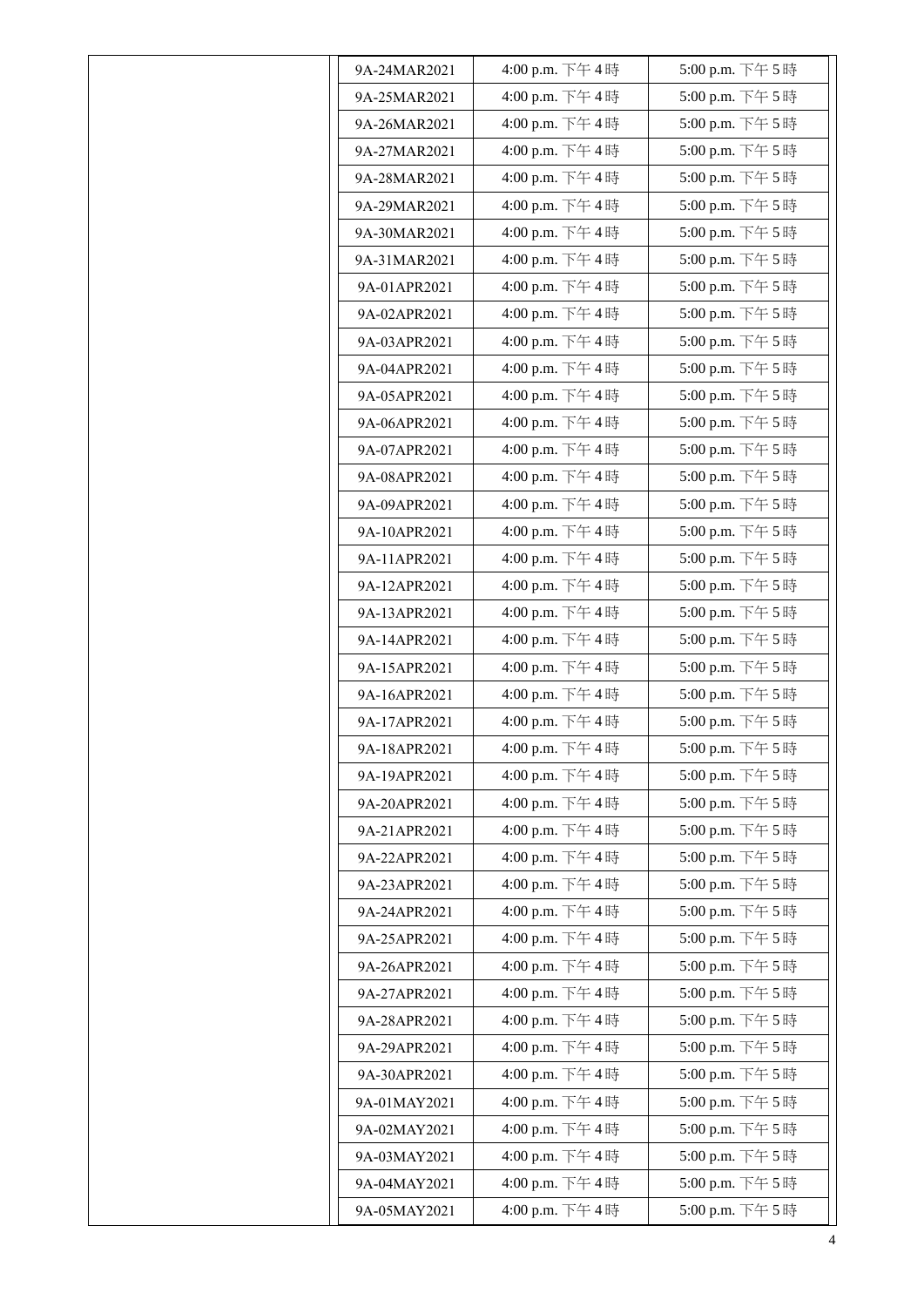| 9A-24MAR2021 | 4:00 p.m. 下午4時 | 5:00 p.m. 下午5時 |
|--------------|----------------|----------------|
| 9A-25MAR2021 | 4:00 p.m. 下午4時 | 5:00 p.m. 下午5時 |
| 9A-26MAR2021 | 4:00 p.m. 下午4時 | 5:00 p.m. 下午5時 |
| 9A-27MAR2021 | 4:00 p.m. 下午4時 | 5:00 p.m. 下午5時 |
| 9A-28MAR2021 | 4:00 p.m. 下午4時 | 5:00 p.m. 下午5時 |
| 9A-29MAR2021 | 4:00 p.m. 下午4時 | 5:00 p.m. 下午5時 |
| 9A-30MAR2021 | 4:00 p.m. 下午4時 | 5:00 p.m. 下午5時 |
| 9A-31MAR2021 | 4:00 p.m. 下午4時 | 5:00 p.m. 下午5時 |
| 9A-01APR2021 | 4:00 p.m. 下午4時 | 5:00 p.m. 下午5時 |
| 9A-02APR2021 | 4:00 p.m. 下午4時 | 5:00 p.m. 下午5時 |
| 9A-03APR2021 | 4:00 p.m. 下午4時 | 5:00 p.m. 下午5時 |
| 9A-04APR2021 | 4:00 p.m. 下午4時 | 5:00 p.m. 下午5時 |
| 9A-05APR2021 | 4:00 p.m. 下午4時 | 5:00 p.m. 下午5時 |
| 9A-06APR2021 | 4:00 p.m. 下午4時 | 5:00 p.m. 下午5時 |
| 9A-07APR2021 | 4:00 p.m. 下午4時 | 5:00 p.m. 下午5時 |
| 9A-08APR2021 | 4:00 p.m. 下午4時 | 5:00 p.m. 下午5時 |
| 9A-09APR2021 | 4:00 p.m. 下午4時 | 5:00 p.m. 下午5時 |
| 9A-10APR2021 | 4:00 p.m. 下午4時 | 5:00 p.m. 下午5時 |
| 9A-11APR2021 | 4:00 p.m. 下午4時 | 5:00 p.m. 下午5時 |
| 9A-12APR2021 | 4:00 p.m. 下午4時 | 5:00 p.m. 下午5時 |
| 9A-13APR2021 | 4:00 p.m. 下午4時 | 5:00 p.m. 下午5時 |
| 9A-14APR2021 | 4:00 p.m. 下午4時 | 5:00 p.m. 下午5時 |
| 9A-15APR2021 | 4:00 p.m. 下午4時 | 5:00 p.m. 下午5時 |
| 9A-16APR2021 | 4:00 p.m. 下午4時 | 5:00 p.m. 下午5時 |
| 9A-17APR2021 | 4:00 p.m. 下午4時 | 5:00 p.m. 下午5時 |
| 9A-18APR2021 | 4:00 p.m. 下午4時 | 5:00 p.m. 下午5時 |
| 9A-19APR2021 | 4:00 p.m. 下午4時 | 5:00 p.m. 下午5時 |
| 9A-20APR2021 | 4:00 p.m. 下午4時 | 5:00 p.m. 下午5時 |
| 9A-21APR2021 | 4:00 p.m. 下午4時 | 5:00 p.m. 下午5時 |
| 9A-22APR2021 | 4:00 p.m. 下午4時 | 5:00 p.m. 下午5時 |
| 9A-23APR2021 | 4:00 p.m. 下午4時 | 5:00 p.m. 下午5時 |
| 9A-24APR2021 | 4:00 p.m. 下午4時 | 5:00 p.m. 下午5時 |
| 9A-25APR2021 | 4:00 p.m. 下午4時 | 5:00 p.m. 下午5時 |
| 9A-26APR2021 | 4:00 p.m. 下午4時 | 5:00 p.m. 下午5時 |
| 9A-27APR2021 | 4:00 p.m. 下午4時 | 5:00 p.m. 下午5時 |
| 9A-28APR2021 | 4:00 p.m. 下午4時 | 5:00 p.m. 下午5時 |
| 9A-29APR2021 | 4:00 p.m. 下午4時 | 5:00 p.m. 下午5時 |
| 9A-30APR2021 | 4:00 p.m. 下午4時 | 5:00 p.m. 下午5時 |
| 9A-01MAY2021 | 4:00 p.m. 下午4時 | 5:00 p.m. 下午5時 |
| 9A-02MAY2021 | 4:00 p.m. 下午4時 | 5:00 p.m. 下午5時 |
| 9A-03MAY2021 | 4:00 p.m. 下午4時 | 5:00 p.m. 下午5時 |
| 9A-04MAY2021 | 4:00 p.m. 下午4時 | 5:00 p.m. 下午5時 |
| 9A-05MAY2021 | 4:00 p.m. 下午4時 | 5:00 p.m. 下午5時 |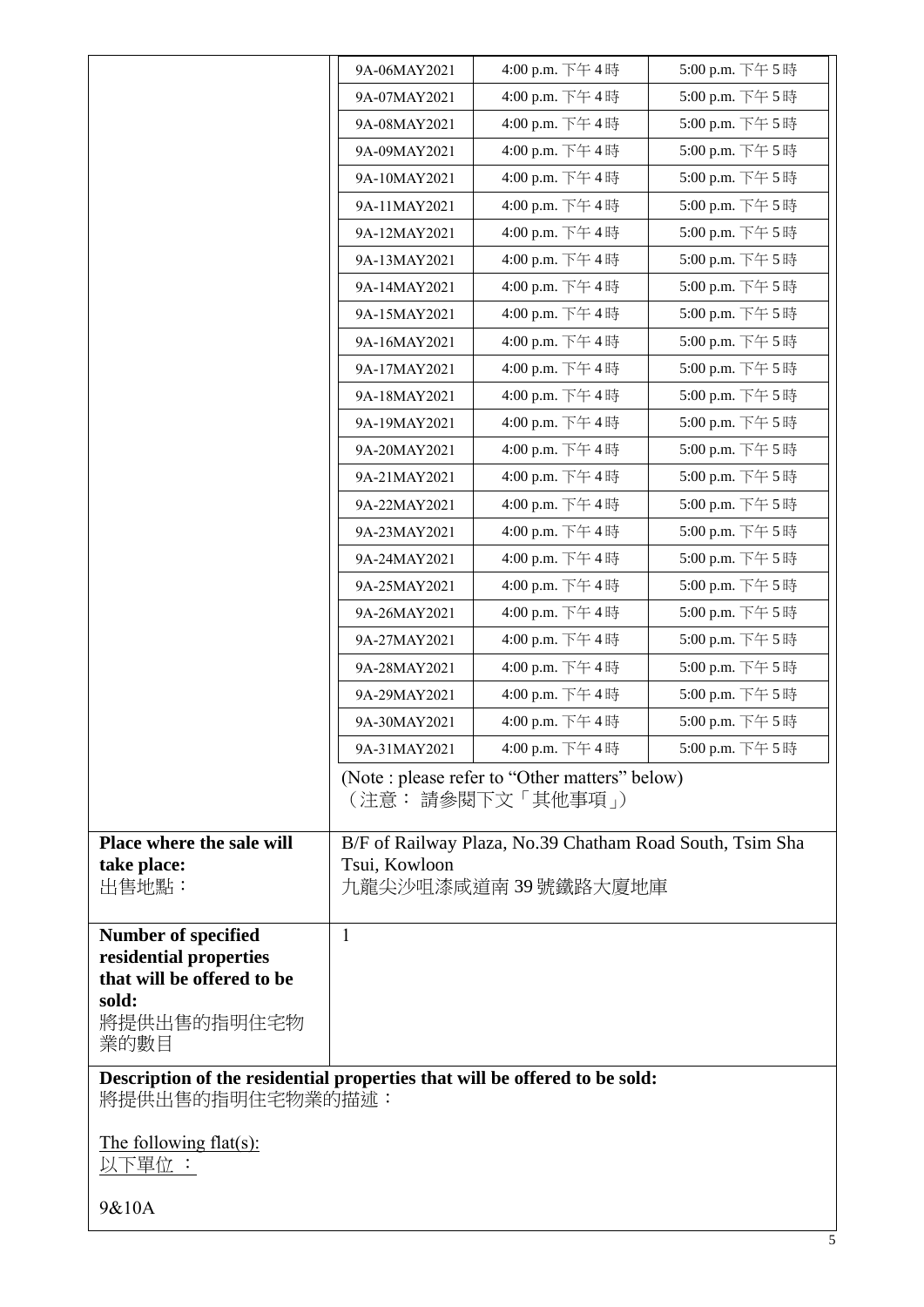|                                                                                                        | 9A-06MAY2021  | 4:00 p.m. 下午4時                                                                 | 5:00 p.m. 下午5時 |
|--------------------------------------------------------------------------------------------------------|---------------|--------------------------------------------------------------------------------|----------------|
|                                                                                                        | 9A-07MAY2021  | 4:00 p.m. 下午4時                                                                 | 5:00 p.m. 下午5時 |
|                                                                                                        | 9A-08MAY2021  | 4:00 p.m. 下午4時                                                                 | 5:00 p.m. 下午5時 |
|                                                                                                        | 9A-09MAY2021  | 4:00 p.m. 下午4時                                                                 | 5:00 p.m. 下午5時 |
|                                                                                                        | 9A-10MAY2021  | 4:00 p.m. 下午4時                                                                 | 5:00 p.m. 下午5時 |
|                                                                                                        | 9A-11MAY2021  | 4:00 p.m. 下午4時                                                                 | 5:00 p.m. 下午5時 |
|                                                                                                        | 9A-12MAY2021  | 4:00 p.m. 下午4時                                                                 | 5:00 p.m. 下午5時 |
|                                                                                                        | 9A-13MAY2021  | 4:00 p.m. 下午4時                                                                 | 5:00 p.m. 下午5時 |
|                                                                                                        | 9A-14MAY2021  | 4:00 p.m. 下午4時                                                                 | 5:00 p.m. 下午5時 |
|                                                                                                        | 9A-15MAY2021  | 4:00 p.m. 下午4時                                                                 | 5:00 p.m. 下午5時 |
|                                                                                                        | 9A-16MAY2021  | 4:00 p.m. 下午4時                                                                 | 5:00 p.m. 下午5時 |
|                                                                                                        | 9A-17MAY2021  | 4:00 p.m. 下午4時                                                                 | 5:00 p.m. 下午5時 |
|                                                                                                        | 9A-18MAY2021  | 4:00 p.m. 下午4時                                                                 | 5:00 p.m. 下午5時 |
|                                                                                                        | 9A-19MAY2021  | 4:00 p.m. 下午4時                                                                 | 5:00 p.m. 下午5時 |
|                                                                                                        | 9A-20MAY2021  | 4:00 p.m. 下午4時                                                                 | 5:00 p.m. 下午5時 |
|                                                                                                        | 9A-21MAY2021  | 4:00 p.m. 下午4時                                                                 | 5:00 p.m. 下午5時 |
|                                                                                                        | 9A-22MAY2021  | 4:00 p.m. 下午4時                                                                 | 5:00 p.m. 下午5時 |
|                                                                                                        | 9A-23MAY2021  | 4:00 p.m. 下午4時                                                                 | 5:00 p.m. 下午5時 |
|                                                                                                        | 9A-24MAY2021  | 4:00 p.m. 下午4時                                                                 | 5:00 p.m. 下午5時 |
|                                                                                                        | 9A-25MAY2021  | 4:00 p.m. 下午4時                                                                 | 5:00 p.m. 下午5時 |
|                                                                                                        | 9A-26MAY2021  | 4:00 p.m. 下午4時                                                                 | 5:00 p.m. 下午5時 |
|                                                                                                        | 9A-27MAY2021  | 4:00 p.m. 下午4時                                                                 | 5:00 p.m. 下午5時 |
|                                                                                                        | 9A-28MAY2021  | 4:00 p.m. 下午4時                                                                 | 5:00 p.m. 下午5時 |
|                                                                                                        | 9A-29MAY2021  | 4:00 p.m. 下午4時                                                                 | 5:00 p.m. 下午5時 |
|                                                                                                        | 9A-30MAY2021  | 4:00 p.m. 下午4時                                                                 | 5:00 p.m. 下午5時 |
|                                                                                                        | 9A-31MAY2021  | 4:00 p.m. 下午4時                                                                 | 5:00 p.m. 下午5時 |
|                                                                                                        |               | (Note: please refer to "Other matters" below)<br>(注意: 請參閱下文「其他事項」)             |                |
| Place where the sale will<br>take place:<br>出售地點:                                                      | Tsui, Kowloon | B/F of Railway Plaza, No.39 Chatham Road South, Tsim Sha<br>九龍尖沙咀漆咸道南39號鐵路大廈地庫 |                |
| Number of specified<br>residential properties<br>that will be offered to be<br>sold:<br>將提供出售的指明住宅物    | $\mathbf{1}$  |                                                                                |                |
| 業的數目<br>Description of the residential properties that will be offered to be sold:<br>將提供出售的指明住宅物業的描述: |               |                                                                                |                |
| The following flat(s):<br>以下單位 :                                                                       |               |                                                                                |                |
| 9&10A                                                                                                  |               |                                                                                |                |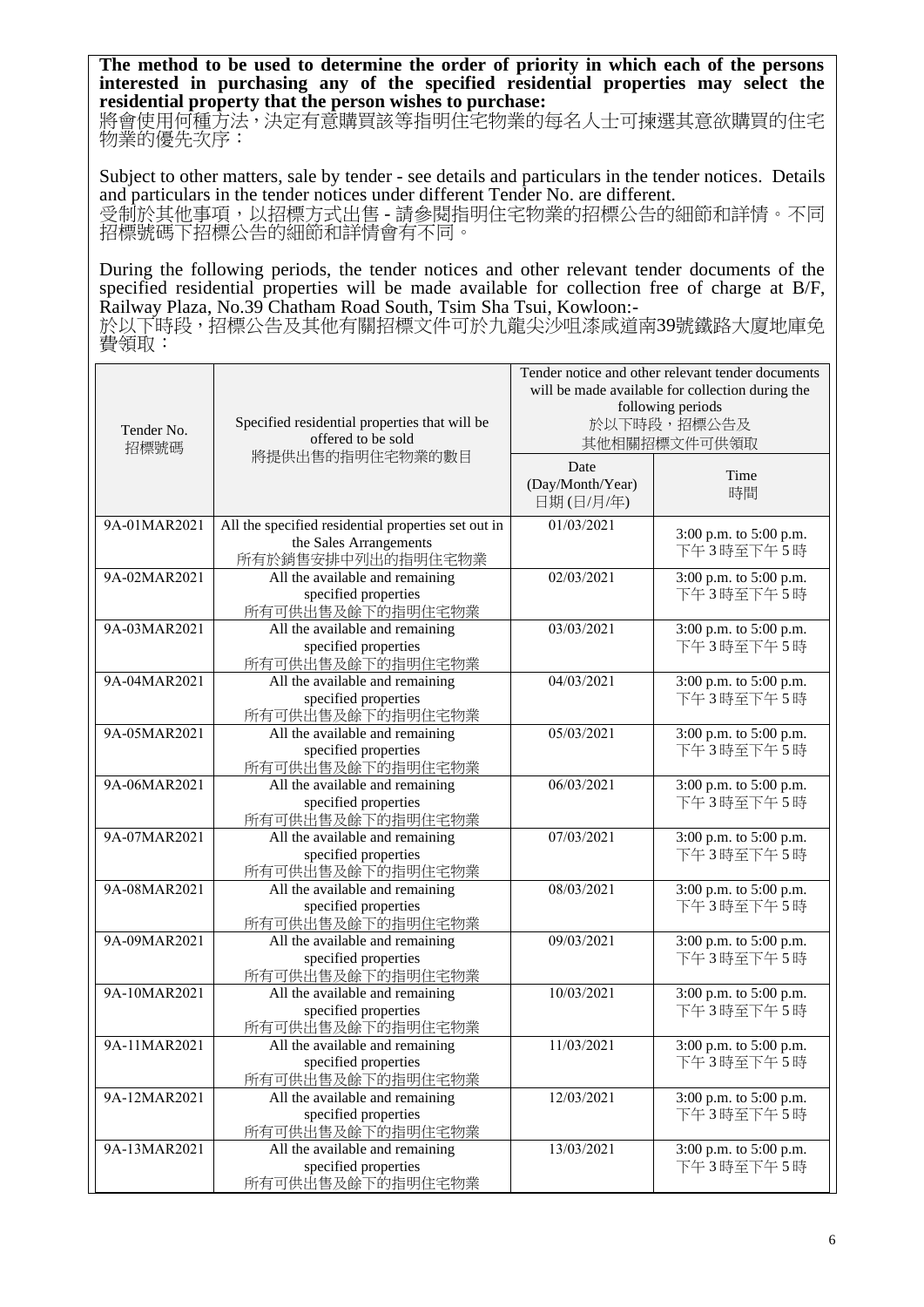**The method to be used to determine the order of priority in which each of the persons interested in purchasing any of the specified residential properties may select the residential property that the person wishes to purchase:** 

將會使用何種方法,決定有意購買該等指明住宅物業的每名人士可揀選其意欲購買的住宅 物業的優先次序:

Subject to other matters, sale by tender - see details and particulars in the tender notices. Details and particulars in the tender notices under different Tender No. are different. 受制於其他事項,以招標方式出售 - 請參閱指明住宅物業的招標公告的細節和詳情。不同 招標號碼下招標公告的細節和詳情會有不同。

During the following periods, the tender notices and other relevant tender documents of the specified residential properties will be made available for collection free of charge at B/F, Railway Plaza, No.39 Chatham Road South, Tsim Sha Tsui, Kowloon:-

於以下時段,招標公告及其他有關招標文件可於九龍尖沙咀漆咸道南39號鐵路大廈地庫免 費領取:

| Tender No.<br>招標號碼 | Specified residential properties that will be<br>offered to be sold                                | Tender notice and other relevant tender documents<br>will be made available for collection during the<br>following periods<br>於以下時段,招標公告及<br>其他相關招標文件可供領取 |                                     |
|--------------------|----------------------------------------------------------------------------------------------------|-----------------------------------------------------------------------------------------------------------------------------------------------------------|-------------------------------------|
|                    | 將提供出售的指明住宅物業的數目                                                                                    | Date<br>(Day/Month/Year)<br>日期(日/月/年)                                                                                                                     | Time<br>時間                          |
| 9A-01MAR2021       | All the specified residential properties set out in<br>the Sales Arrangements<br>所有於銷售安排中列出的指明住宅物業 | 01/03/2021                                                                                                                                                | 3:00 p.m. to 5:00 p.m.<br>下午3時至下午5時 |
| 9A-02MAR2021       | All the available and remaining<br>specified properties<br>所有可供出售及餘下的指明住宅物業                        | 02/03/2021                                                                                                                                                | 3:00 p.m. to 5:00 p.m.<br>下午3時至下午5時 |
| 9A-03MAR2021       | All the available and remaining<br>specified properties<br>所有可供出售及餘下的指明住宅物業                        | 03/03/2021                                                                                                                                                | 3:00 p.m. to 5:00 p.m.<br>下午3時至下午5時 |
| 9A-04MAR2021       | All the available and remaining<br>specified properties<br>所有可供出售及餘下的指明住宅物業                        | 04/03/2021                                                                                                                                                | 3:00 p.m. to 5:00 p.m.<br>下午3時至下午5時 |
| 9A-05MAR2021       | All the available and remaining<br>specified properties<br>所有可供出售及餘下的指明住宅物業                        | 05/03/2021                                                                                                                                                | 3:00 p.m. to 5:00 p.m.<br>下午3時至下午5時 |
| 9A-06MAR2021       | All the available and remaining<br>specified properties<br>所有可供出售及餘下的指明住宅物業                        | 06/03/2021                                                                                                                                                | 3:00 p.m. to 5:00 p.m.<br>下午3時至下午5時 |
| 9A-07MAR2021       | All the available and remaining<br>specified properties<br>所有可供出售及餘下的指明住宅物業                        | 07/03/2021                                                                                                                                                | 3:00 p.m. to 5:00 p.m.<br>下午3時至下午5時 |
| 9A-08MAR2021       | All the available and remaining<br>specified properties<br>所有可供出售及餘下的指明住宅物業                        | 08/03/2021                                                                                                                                                | 3:00 p.m. to 5:00 p.m.<br>下午3時至下午5時 |
| 9A-09MAR2021       | All the available and remaining<br>specified properties<br>所有可供出售及餘下的指明住宅物業                        | 09/03/2021                                                                                                                                                | 3:00 p.m. to 5:00 p.m.<br>下午3時至下午5時 |
| 9A-10MAR2021       | All the available and remaining<br>specified properties<br>所有可供出售及餘下的指明住宅物業                        | 10/03/2021                                                                                                                                                | 3:00 p.m. to 5:00 p.m.<br>下午3時至下午5時 |
| 9A-11MAR2021       | All the available and remaining<br>specified properties<br>所有可供出售及餘下的指明住宅物業                        | 11/03/2021                                                                                                                                                | 3:00 p.m. to 5:00 p.m.<br>下午3時至下午5時 |
| 9A-12MAR2021       | All the available and remaining<br>specified properties<br>所有可供出售及餘下的指明住宅物業                        | 12/03/2021                                                                                                                                                | 3:00 p.m. to 5:00 p.m.<br>下午3時至下午5時 |
| 9A-13MAR2021       | All the available and remaining<br>specified properties<br>所有可供出售及餘下的指明住宅物業                        | 13/03/2021                                                                                                                                                | 3:00 p.m. to 5:00 p.m.<br>下午3時至下午5時 |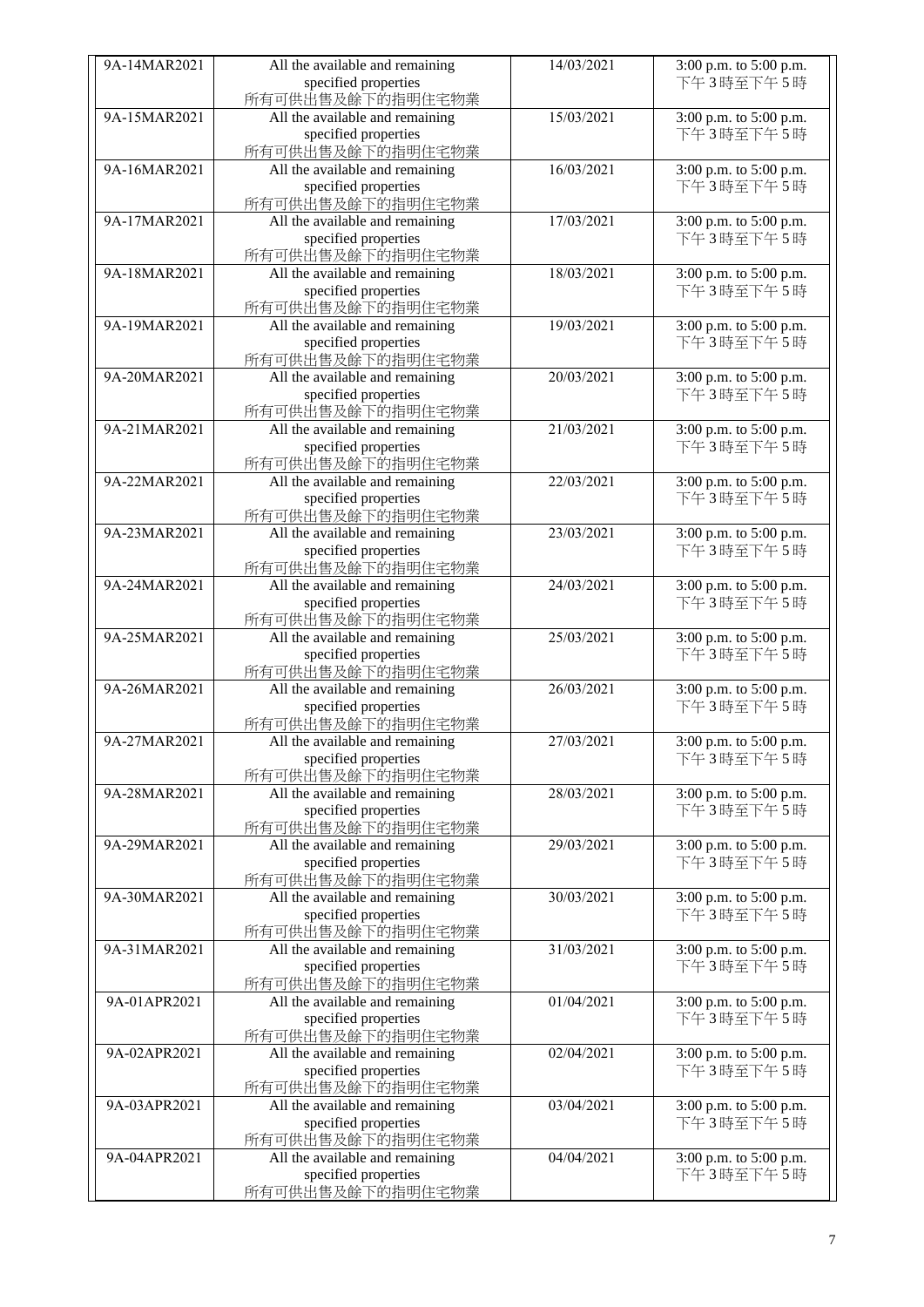| 9A-14MAR2021 | All the available and remaining | 14/03/2021 | 3:00 p.m. to 5:00 p.m. |
|--------------|---------------------------------|------------|------------------------|
|              | specified properties            |            | 下午3時至下午5時              |
|              | 所有可供出售及餘下的指明住宅物業                |            |                        |
| 9A-15MAR2021 |                                 | 15/03/2021 |                        |
|              | All the available and remaining |            | 3:00 p.m. to 5:00 p.m. |
|              | specified properties            |            | 下午3時至下午5時              |
|              | 所有可供出售及餘下的指明住宅物業                |            |                        |
| 9A-16MAR2021 | All the available and remaining | 16/03/2021 | 3:00 p.m. to 5:00 p.m. |
|              |                                 |            |                        |
|              | specified properties            |            | 下午3時至下午5時              |
|              | 所有可供出售及餘下的指明住宅物業                |            |                        |
| 9A-17MAR2021 | All the available and remaining | 17/03/2021 | 3:00 p.m. to 5:00 p.m. |
|              | specified properties            |            | 下午3時至下午5時              |
|              |                                 |            |                        |
|              | 所有可供出售及餘下的指明住宅物業                |            |                        |
| 9A-18MAR2021 | All the available and remaining | 18/03/2021 | 3:00 p.m. to 5:00 p.m. |
|              | specified properties            |            | 下午3時至下午5時              |
|              | 所有可供出售及餘下的指明住宅物業                |            |                        |
|              |                                 |            |                        |
| 9A-19MAR2021 | All the available and remaining | 19/03/2021 | 3:00 p.m. to 5:00 p.m. |
|              | specified properties            |            | 下午3時至下午5時              |
|              | 所有可供出售及餘下的指明住宅物業                |            |                        |
| 9A-20MAR2021 |                                 | 20/03/2021 |                        |
|              | All the available and remaining |            | 3:00 p.m. to 5:00 p.m. |
|              | specified properties            |            | 下午3時至下午5時              |
|              | 所有可供出售及餘下的指明住宅物業                |            |                        |
| 9A-21MAR2021 | All the available and remaining | 21/03/2021 | 3:00 p.m. to 5:00 p.m. |
|              |                                 |            |                        |
|              | specified properties            |            | 下午3時至下午5時              |
|              | 所有可供出售及餘下的指明住宅物業                |            |                        |
| 9A-22MAR2021 | All the available and remaining | 22/03/2021 | 3:00 p.m. to 5:00 p.m. |
|              |                                 |            | 下午3時至下午5時              |
|              | specified properties            |            |                        |
|              | 所有可供出售及餘下的指明住宅物業                |            |                        |
| 9A-23MAR2021 | All the available and remaining | 23/03/2021 | 3:00 p.m. to 5:00 p.m. |
|              | specified properties            |            | 下午3時至下午5時              |
|              |                                 |            |                        |
|              | 所有可供出售及餘下的指明住宅物業                |            |                        |
| 9A-24MAR2021 | All the available and remaining | 24/03/2021 | 3:00 p.m. to 5:00 p.m. |
|              | specified properties            |            | 下午3時至下午5時              |
|              | 所有可供出售及餘下的指明住宅物業                |            |                        |
|              |                                 |            |                        |
| 9A-25MAR2021 | All the available and remaining | 25/03/2021 | 3:00 p.m. to 5:00 p.m. |
|              | specified properties            |            | 下午3時至下午5時              |
|              | 所有可供出售及餘下的指明住宅物業                |            |                        |
| 9A-26MAR2021 | All the available and remaining | 26/03/2021 | 3:00 p.m. to 5:00 p.m. |
|              |                                 |            |                        |
|              | specified properties            |            | 下午3時至下午5時              |
|              | 所有可供出售及餘下的指明住宅物業                |            |                        |
| 9A-27MAR2021 | All the available and remaining | 27/03/2021 | 3:00 p.m. to 5:00 p.m. |
|              | specified properties            |            | 下午3時至下午5時              |
|              |                                 |            |                        |
|              | 所有可供出售及餘下的指明住宅物業                |            |                        |
| 9A-28MAR2021 | All the available and remaining | 28/03/2021 | 3:00 p.m. to 5:00 p.m. |
|              | specified properties            |            | 下午3時至下午5時              |
|              | 所有可供出售及餘下的指明住宅物業                |            |                        |
|              |                                 |            |                        |
| 9A-29MAR2021 | All the available and remaining | 29/03/2021 | 3:00 p.m. to 5:00 p.m. |
|              | specified properties            |            | 下午3時至下午5時              |
|              | 所有可供出售及餘下的指明住宅物業                |            |                        |
| 9A-30MAR2021 |                                 | 30/03/2021 |                        |
|              | All the available and remaining |            | 3:00 p.m. to 5:00 p.m. |
|              | specified properties            |            | 下午3時至下午5時              |
|              | 所有可供出售及餘下的指明住宅物業                |            |                        |
| 9A-31MAR2021 | All the available and remaining | 31/03/2021 | 3:00 p.m. to 5:00 p.m. |
|              | specified properties            |            | 下午3時至下午5時              |
|              |                                 |            |                        |
|              | 所有可供出售及餘下的指明住宅物業                |            |                        |
| 9A-01APR2021 | All the available and remaining | 01/04/2021 | 3:00 p.m. to 5:00 p.m. |
|              | specified properties            |            | 下午3時至下午5時              |
|              |                                 |            |                        |
|              | 所有可供出售及餘下的指明住宅物業                |            |                        |
| 9A-02APR2021 | All the available and remaining | 02/04/2021 | 3:00 p.m. to 5:00 p.m. |
|              | specified properties            |            | 下午3時至下午5時              |
|              | 所有可供出售及餘下的指明住宅物業                |            |                        |
|              |                                 |            |                        |
| 9A-03APR2021 | All the available and remaining | 03/04/2021 | 3:00 p.m. to 5:00 p.m. |
|              | specified properties            |            | 下午3時至下午5時              |
|              | 所有可供出售及餘下的指明住宅物業                |            |                        |
| 9A-04APR2021 | All the available and remaining | 04/04/2021 | 3:00 p.m. to 5:00 p.m. |
|              |                                 |            |                        |
|              | specified properties            |            | 下午3時至下午5時              |
|              | 所有可供出售及餘下的指明住宅物業                |            |                        |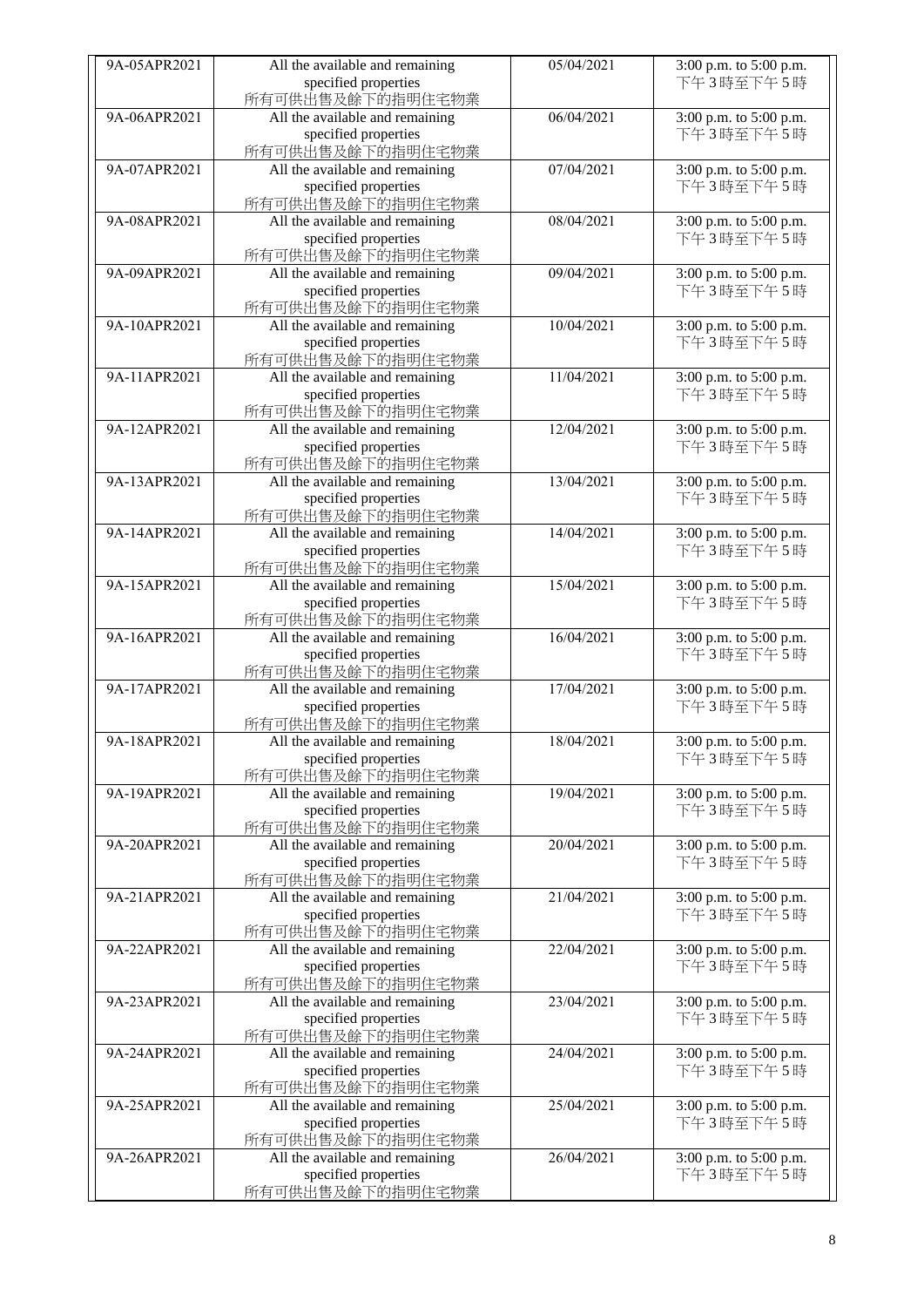|              |                                 | 05/04/2021 |                        |
|--------------|---------------------------------|------------|------------------------|
| 9A-05APR2021 | All the available and remaining |            | 3:00 p.m. to 5:00 p.m. |
|              | specified properties            |            | 下午3時至下午5時              |
|              | 所有可供出售及餘下的指明住宅物業                |            |                        |
| 9A-06APR2021 | All the available and remaining | 06/04/2021 | 3:00 p.m. to 5:00 p.m. |
|              |                                 |            | 下午3時至下午5時              |
|              | specified properties            |            |                        |
|              | 所有可供出售及餘下的指明住宅物業                |            |                        |
| 9A-07APR2021 | All the available and remaining | 07/04/2021 | 3:00 p.m. to 5:00 p.m. |
|              | specified properties            |            | 下午3時至下午5時              |
|              | 所有可供出售及餘下的指明住宅物業                |            |                        |
|              |                                 |            |                        |
| 9A-08APR2021 | All the available and remaining | 08/04/2021 | 3:00 p.m. to 5:00 p.m. |
|              | specified properties            |            | 下午3時至下午5時              |
|              | 所有可供出售及餘下的指明住宅物業                |            |                        |
| 9A-09APR2021 | All the available and remaining | 09/04/2021 | 3:00 p.m. to 5:00 p.m. |
|              |                                 |            |                        |
|              | specified properties            |            | 下午3時至下午5時              |
|              | 所有可供出售及餘下的指明住宅物業                |            |                        |
| 9A-10APR2021 | All the available and remaining | 10/04/2021 | 3:00 p.m. to 5:00 p.m. |
|              | specified properties            |            | 下午3時至下午5時              |
|              |                                 |            |                        |
|              | 所有可供出售及餘下的指明住宅物業                |            |                        |
| 9A-11APR2021 | All the available and remaining | 11/04/2021 | 3:00 p.m. to 5:00 p.m. |
|              | specified properties            |            | 下午3時至下午5時              |
|              | 所有可供出售及餘下的指明住宅物業                |            |                        |
| 9A-12APR2021 | All the available and remaining | 12/04/2021 | 3:00 p.m. to 5:00 p.m. |
|              |                                 |            |                        |
|              | specified properties            |            | 下午3時至下午5時              |
|              | 所有可供出售及餘下的指明住宅物業                |            |                        |
| 9A-13APR2021 | All the available and remaining | 13/04/2021 | 3:00 p.m. to 5:00 p.m. |
|              | specified properties            |            | 下午3時至下午5時              |
|              |                                 |            |                        |
|              | 所有可供出售及餘下的指明住宅物業                |            |                        |
| 9A-14APR2021 | All the available and remaining | 14/04/2021 | 3:00 p.m. to 5:00 p.m. |
|              | specified properties            |            | 下午3時至下午5時              |
|              | 所有可供出售及餘下的指明住宅物業                |            |                        |
| 9A-15APR2021 | All the available and remaining | 15/04/2021 | 3:00 p.m. to 5:00 p.m. |
|              |                                 |            |                        |
|              | specified properties            |            | 下午3時至下午5時              |
|              | 所有可供出售及餘下的指明住宅物業                |            |                        |
| 9A-16APR2021 | All the available and remaining | 16/04/2021 | 3:00 p.m. to 5:00 p.m. |
|              | specified properties            |            | 下午3時至下午5時              |
|              | 所有可供出售及餘下的指明住宅物業                |            |                        |
|              |                                 |            |                        |
| 9A-17APR2021 | All the available and remaining | 17/04/2021 | 3:00 p.m. to 5:00 p.m. |
|              | specified properties            |            | 下午3時至下午5時              |
|              | 所有可供出售及餘下的指明住宅物業                |            |                        |
| 9A-18APR2021 | All the available and remaining | 18/04/2021 | 3:00 p.m. to 5:00 p.m. |
|              |                                 |            |                        |
|              | specified properties            |            | 下午3時至下午5時              |
|              | 所有可供出售及餘下的指明住宅物業                |            |                        |
| 9A-19APR2021 | All the available and remaining | 19/04/2021 | 3:00 p.m. to 5:00 p.m. |
|              | specified properties            |            | 下午3時至下午5時              |
|              | 所有可供出售及餘下的指明住宅物業                |            |                        |
|              |                                 |            |                        |
| 9A-20APR2021 | All the available and remaining | 20/04/2021 | 3:00 p.m. to 5:00 p.m. |
|              | specified properties            |            | 下午3時至下午5時              |
|              | 所有可供出售及餘下的指明住宅物業                |            |                        |
| 9A-21APR2021 | All the available and remaining | 21/04/2021 | 3:00 p.m. to 5:00 p.m. |
|              | specified properties            |            | 下午3時至下午5時              |
|              |                                 |            |                        |
|              | 所有可供出售及餘下的指明住宅物業                |            |                        |
| 9A-22APR2021 | All the available and remaining | 22/04/2021 | 3:00 p.m. to 5:00 p.m. |
|              | specified properties            |            | 下午3時至下午5時              |
|              | 所有可供出售及餘下的指明住宅物業                |            |                        |
| 9A-23APR2021 | All the available and remaining | 23/04/2021 | 3:00 p.m. to 5:00 p.m. |
|              |                                 |            |                        |
|              | specified properties            |            | 下午3時至下午5時              |
|              | 所有可供出售及餘下的指明住宅物業                |            |                        |
| 9A-24APR2021 | All the available and remaining | 24/04/2021 | 3:00 p.m. to 5:00 p.m. |
|              | specified properties            |            | 下午3時至下午5時              |
|              |                                 |            |                        |
|              | 所有可供出售及餘下的指明住宅物業                |            |                        |
| 9A-25APR2021 | All the available and remaining | 25/04/2021 | 3:00 p.m. to 5:00 p.m. |
|              | specified properties            |            | 下午3時至下午5時              |
|              | 所有可供出售及餘下的指明住宅物業                |            |                        |
| 9A-26APR2021 | All the available and remaining | 26/04/2021 | 3:00 p.m. to 5:00 p.m. |
|              | specified properties            |            | 下午3時至下午5時              |
|              |                                 |            |                        |
|              | 所有可供出售及餘下的指明住宅物業                |            |                        |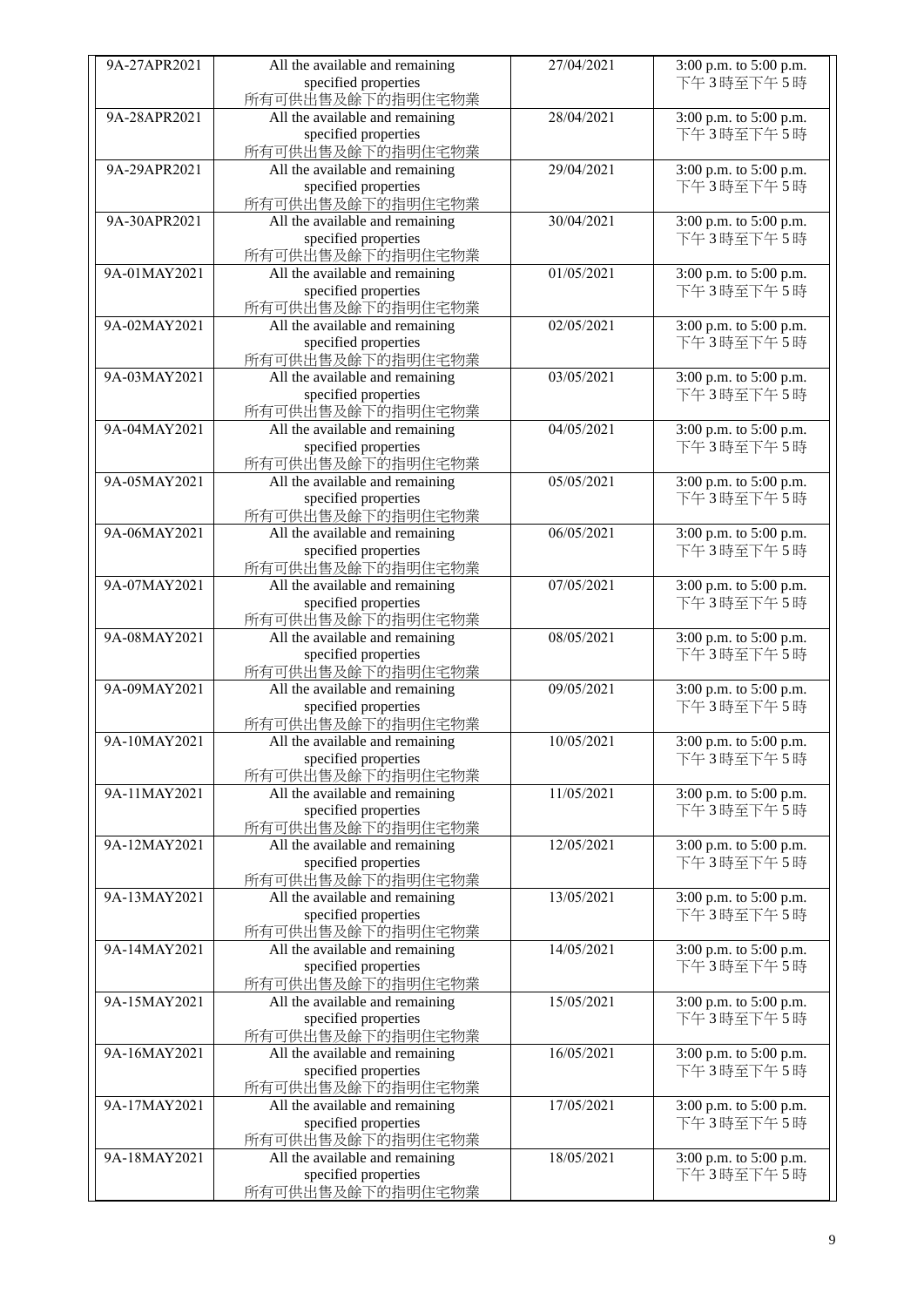| 9A-27APR2021 | All the available and remaining | 27/04/2021 | 3:00 p.m. to 5:00 p.m. |
|--------------|---------------------------------|------------|------------------------|
|              | specified properties            |            | 下午3時至下午5時              |
|              | 所有可供出售及餘下的指明住宅物業                |            |                        |
| 9A-28APR2021 | All the available and remaining | 28/04/2021 | 3:00 p.m. to 5:00 p.m. |
|              | specified properties            |            | 下午3時至下午5時              |
|              | 所有可供出售及餘下的指明住宅物業                |            |                        |
| 9A-29APR2021 | All the available and remaining | 29/04/2021 | 3:00 p.m. to 5:00 p.m. |
|              | specified properties            |            | 下午3時至下午5時              |
|              | 所有可供出售及餘下的指明住宅物業                |            |                        |
| 9A-30APR2021 | All the available and remaining | 30/04/2021 | 3:00 p.m. to 5:00 p.m. |
|              | specified properties            |            | 下午3時至下午5時              |
|              | 所有可供出售及餘下的指明住宅物業                |            |                        |
| 9A-01MAY2021 | All the available and remaining | 01/05/2021 | 3:00 p.m. to 5:00 p.m. |
|              | specified properties            |            | 下午3時至下午5時              |
|              | 所有可供出售及餘下的指明住宅物業                |            |                        |
| 9A-02MAY2021 | All the available and remaining | 02/05/2021 | 3:00 p.m. to 5:00 p.m. |
|              | specified properties            |            | 下午3時至下午5時              |
|              | 所有可供出售及餘下的指明住宅物業                |            |                        |
| 9A-03MAY2021 | All the available and remaining | 03/05/2021 | 3:00 p.m. to 5:00 p.m. |
|              | specified properties            |            | 下午3時至下午5時              |
|              | 所有可供出售及餘下的指明住宅物業                |            |                        |
| 9A-04MAY2021 | All the available and remaining | 04/05/2021 | 3:00 p.m. to 5:00 p.m. |
|              | specified properties            |            | 下午3時至下午5時              |
|              | 所有可供出售及餘下的指明住宅物業                |            |                        |
| 9A-05MAY2021 | All the available and remaining | 05/05/2021 | 3:00 p.m. to 5:00 p.m. |
|              | specified properties            |            | 下午3時至下午5時              |
|              | 所有可供出售及餘下的指明住宅物業                |            |                        |
| 9A-06MAY2021 | All the available and remaining | 06/05/2021 | 3:00 p.m. to 5:00 p.m. |
|              | specified properties            |            | 下午3時至下午5時              |
|              | 所有可供出售及餘下的指明住宅物業                |            |                        |
| 9A-07MAY2021 | All the available and remaining | 07/05/2021 | 3:00 p.m. to 5:00 p.m. |
|              | specified properties            |            | 下午3時至下午5時              |
|              | 所有可供出售及餘下的指明住宅物業                |            |                        |
| 9A-08MAY2021 | All the available and remaining | 08/05/2021 | 3:00 p.m. to 5:00 p.m. |
|              | specified properties            |            | 下午3時至下午5時              |
|              | 所有可供出售及餘下的指明住宅物業                |            |                        |
| 9A-09MAY2021 | All the available and remaining | 09/05/2021 | 3:00 p.m. to 5:00 p.m. |
|              | specified properties            |            | 下午3時至下午5時              |
|              | 所有可供出售及餘下的指明住宅物業                |            |                        |
| 9A-10MAY2021 | All the available and remaining | 10/05/2021 | 3:00 p.m. to 5:00 p.m. |
|              | specified properties            |            | 下午3時至下午5時              |
|              | 所有可供出售及餘下的指明住宅物業                |            |                        |
| 9A-11MAY2021 | All the available and remaining | 11/05/2021 | 3:00 p.m. to 5:00 p.m. |
|              | specified properties            |            | 下午3時至下午5時              |
|              | 所有可供出售及餘下的指明住宅物業                |            |                        |
| 9A-12MAY2021 | All the available and remaining | 12/05/2021 | 3:00 p.m. to 5:00 p.m. |
|              | specified properties            |            | 下午3時至下午5時              |
|              | 所有可供出售及餘下的指明住宅物業                |            |                        |
| 9A-13MAY2021 | All the available and remaining | 13/05/2021 | 3:00 p.m. to 5:00 p.m. |
|              | specified properties            |            | 下午3時至下午5時              |
|              | 所有可供出售及餘下的指明住宅物業                |            |                        |
| 9A-14MAY2021 | All the available and remaining | 14/05/2021 | 3:00 p.m. to 5:00 p.m. |
|              | specified properties            |            | 下午3時至下午5時              |
|              | 所有可供出售及餘下的指明住宅物業                |            |                        |
| 9A-15MAY2021 | All the available and remaining | 15/05/2021 | 3:00 p.m. to 5:00 p.m. |
|              | specified properties            |            | 下午3時至下午5時              |
|              | 所有可供出售及餘下的指明住宅物業                |            |                        |
| 9A-16MAY2021 | All the available and remaining | 16/05/2021 | 3:00 p.m. to 5:00 p.m. |
|              | specified properties            |            | 下午3時至下午5時              |
|              | 所有可供出售及餘下的指明住宅物業                |            |                        |
| 9A-17MAY2021 | All the available and remaining | 17/05/2021 | 3:00 p.m. to 5:00 p.m. |
|              | specified properties            |            | 下午3時至下午5時              |
|              | 所有可供出售及餘下的指明住宅物業                |            |                        |
| 9A-18MAY2021 | All the available and remaining | 18/05/2021 | 3:00 p.m. to 5:00 p.m. |
|              | specified properties            |            | 下午3時至下午5時              |
|              | 所有可供出售及餘下的指明住宅物業                |            |                        |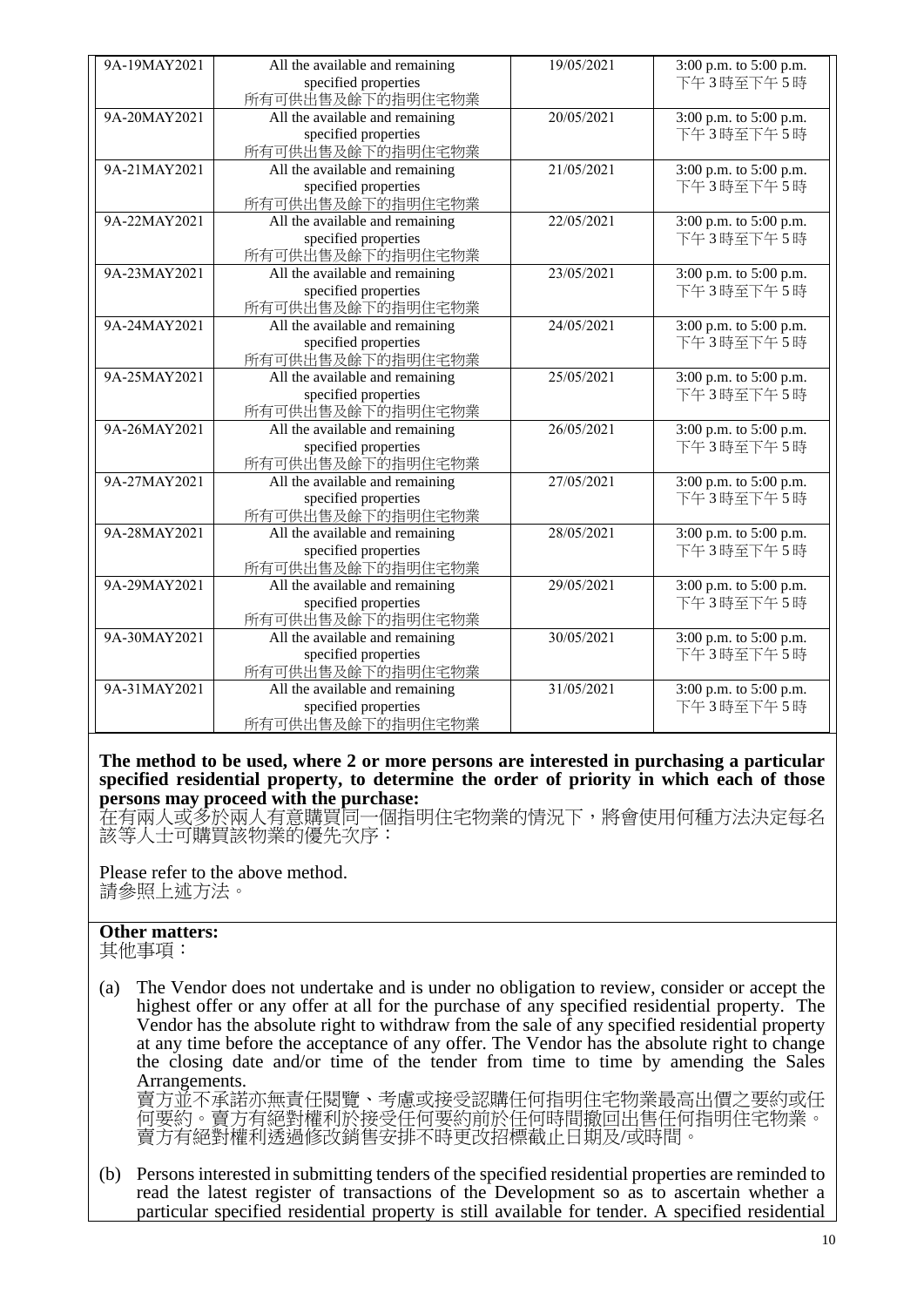| 9A-19MAY2021 | All the available and remaining | 19/05/2021 | 3:00 p.m. to 5:00 p.m. |
|--------------|---------------------------------|------------|------------------------|
|              | specified properties            |            | 下午3時至下午5時              |
|              | 所有可供出售及餘下的指明住宅物業                |            |                        |
| 9A-20MAY2021 | All the available and remaining | 20/05/2021 | 3:00 p.m. to 5:00 p.m. |
|              | specified properties            |            | 下午3時至下午5時              |
|              | 所有可供出售及餘下的指明住宅物業                |            |                        |
| 9A-21MAY2021 | All the available and remaining | 21/05/2021 | 3:00 p.m. to 5:00 p.m. |
|              | specified properties            |            | 下午3時至下午5時              |
|              | 所有可供出售及餘下的指明住宅物業                |            |                        |
| 9A-22MAY2021 | All the available and remaining | 22/05/2021 | 3:00 p.m. to 5:00 p.m. |
|              | specified properties            |            | 下午3時至下午5時              |
|              | 所有可供出售及餘下的指明住宅物業                |            |                        |
| 9A-23MAY2021 | All the available and remaining | 23/05/2021 | 3:00 p.m. to 5:00 p.m. |
|              | specified properties            |            | 下午3時至下午5時              |
|              | 所有可供出售及餘下的指明住宅物業                |            |                        |
| 9A-24MAY2021 | All the available and remaining | 24/05/2021 | 3:00 p.m. to 5:00 p.m. |
|              | specified properties            |            | 下午3時至下午5時              |
|              | 所有可供出售及餘下的指明住宅物業                |            |                        |
| 9A-25MAY2021 | All the available and remaining | 25/05/2021 | 3:00 p.m. to 5:00 p.m. |
|              | specified properties            |            | 下午3時至下午5時              |
|              | 所有可供出售及餘下的指明住宅物業                |            |                        |
| 9A-26MAY2021 | All the available and remaining | 26/05/2021 | 3:00 p.m. to 5:00 p.m. |
|              | specified properties            |            | 下午3時至下午5時              |
|              | 所有可供出售及餘下的指明住宅物業                |            |                        |
| 9A-27MAY2021 | All the available and remaining | 27/05/2021 | 3:00 p.m. to 5:00 p.m. |
|              | specified properties            |            | 下午3時至下午5時              |
|              | 所有可供出售及餘下的指明住宅物業                |            |                        |
| 9A-28MAY2021 | All the available and remaining | 28/05/2021 | 3:00 p.m. to 5:00 p.m. |
|              | specified properties            |            | 下午3時至下午5時              |
|              | 所有可供出售及餘下的指明住宅物業                |            |                        |
| 9A-29MAY2021 | All the available and remaining | 29/05/2021 | 3:00 p.m. to 5:00 p.m. |
|              | specified properties            |            | 下午3時至下午5時              |
|              | 所有可供出售及餘下的指明住宅物業                |            |                        |
| 9A-30MAY2021 | All the available and remaining | 30/05/2021 | 3:00 p.m. to 5:00 p.m. |
|              | specified properties            |            | 下午3時至下午5時              |
|              | 所有可供出售及餘下的指明住宅物業                |            |                        |
| 9A-31MAY2021 | All the available and remaining | 31/05/2021 | 3:00 p.m. to 5:00 p.m. |
|              | specified properties            |            | 下午3時至下午5時              |
|              | 所有可供出售及餘下的指明住宅物業                |            |                        |

**The method to be used, where 2 or more persons are interested in purchasing a particular specified residential property, to determine the order of priority in which each of those persons may proceed with the purchase:**

在有兩人或多於兩人有意購買同一個指明住宅物業的情況下,將會使用何種方法決定每名 該等人士可購買該物業的優先次序:

Please refer to the above method. 請參照上述方法。

## **Other matters:**

其他事項:

(a) The Vendor does not undertake and is under no obligation to review, consider or accept the highest offer or any offer at all for the purchase of any specified residential property. The Vendor has the absolute right to withdraw from the sale of any specified residential property at any time before the acceptance of any offer. The Vendor has the absolute right to change the closing date and/or time of the tender from time to time by amending the Sales Arrangements.

賣方並不承諾亦無責任閱覽、考慮或接受認購任何指明住宅物業最高出價之要約或任 何要約。賣方有絕對權利於接受任何要約前於任何時間撤回出售任何指明住宅物業。 賣方有絕對權利透過修改銷售安排不時更改招標截止日期及/或時間。

(b) Persons interested in submitting tenders of the specified residential properties are reminded to read the latest register of transactions of the Development so as to ascertain whether a particular specified residential property is still available for tender. A specified residential